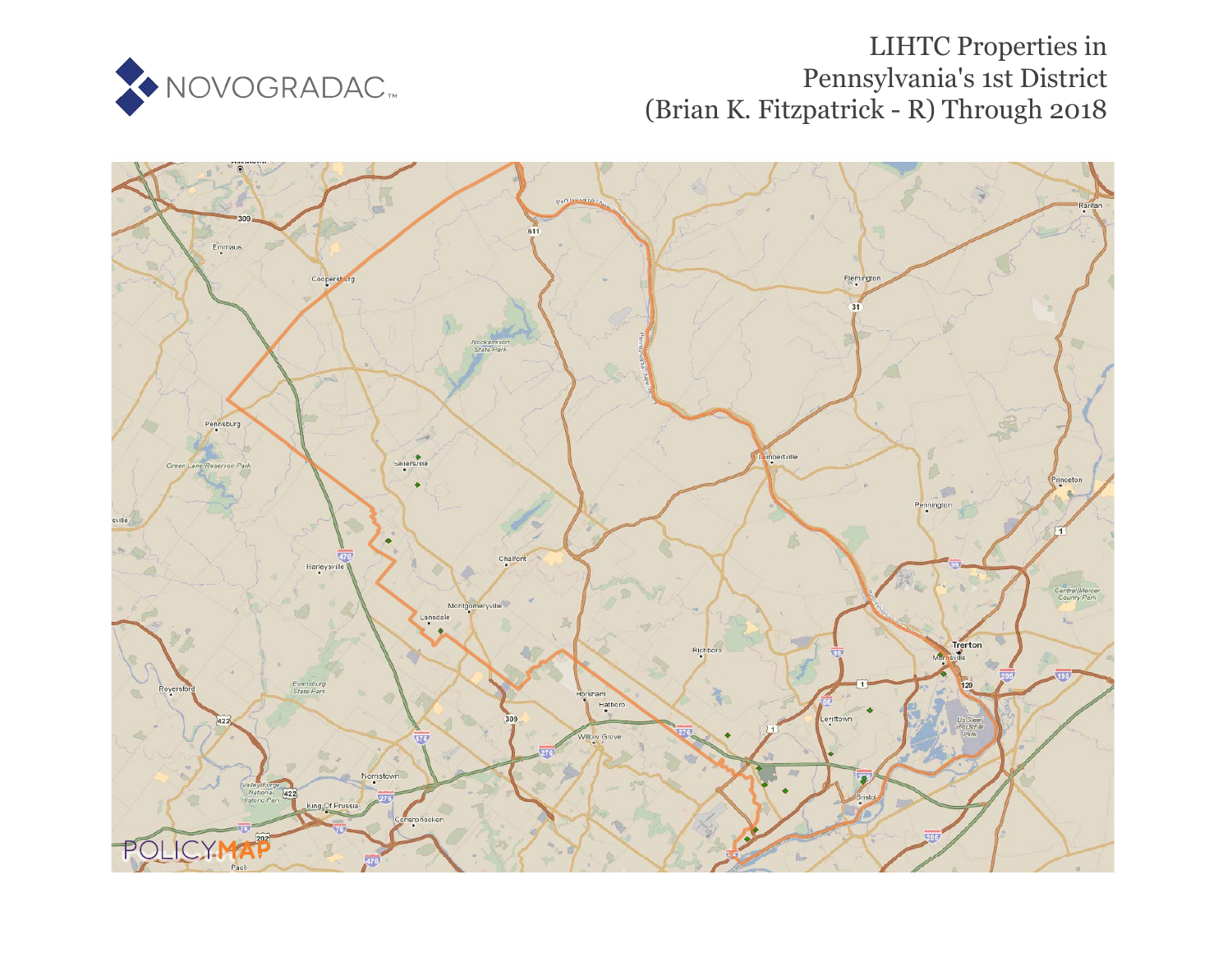

## LIHTC Properties in Pennsylvania's 1st District (Brian K. Fitzpatrick - R) Through 2018

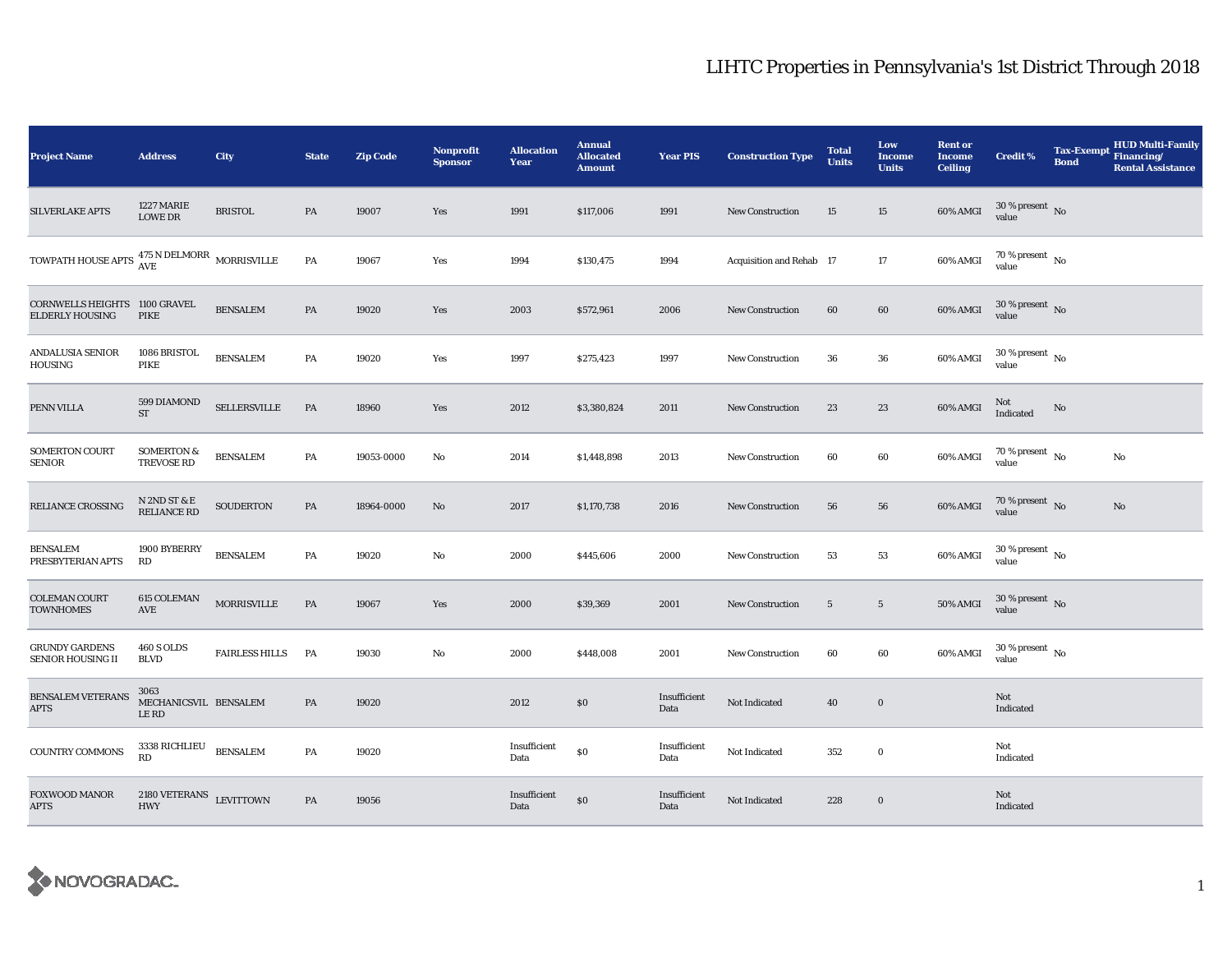## LIHTC Properties in Pennsylvania's 1st District Through 2018

| <b>Project Name</b>                                                               | <b>Address</b>                                  | City                  | <b>State</b> | <b>Zip Code</b> | Nonprofit<br><b>Sponsor</b> | <b>Allocation</b><br>Year | <b>Annual</b><br><b>Allocated</b><br><b>Amount</b> | <b>Year PIS</b>      | <b>Construction Type</b> | <b>Total</b><br><b>Units</b> | Low<br>Income<br><b>Units</b> | <b>Rent or</b><br><b>Income</b><br><b>Ceiling</b> | <b>Credit %</b>                        | <b>Tax-Exempt</b><br><b>Bond</b> | <b>HUD Multi-Family</b><br>Financing/<br><b>Rental Assistance</b> |
|-----------------------------------------------------------------------------------|-------------------------------------------------|-----------------------|--------------|-----------------|-----------------------------|---------------------------|----------------------------------------------------|----------------------|--------------------------|------------------------------|-------------------------------|---------------------------------------------------|----------------------------------------|----------------------------------|-------------------------------------------------------------------|
| <b>SILVERLAKE APTS</b>                                                            | 1227 MARIE<br><b>LOWE DR</b>                    | <b>BRISTOL</b>        | PA           | 19007           | Yes                         | 1991                      | \$117,006                                          | 1991                 | <b>New Construction</b>  | 15                           | 15                            | 60% AMGI                                          | $30\,\%$ present $\,$ No value         |                                  |                                                                   |
| TOWPATH HOUSE APTS $\frac{475 \text{ N} \text{ DELMORR}}{\text{AVE}}$ MORRISVILLE |                                                 |                       | PA           | 19067           | Yes                         | 1994                      | \$130,475                                          | 1994                 | Acquisition and Rehab 17 |                              | 17                            | 60% AMGI                                          | $70\,\%$ present $\,$ No $\,$<br>value |                                  |                                                                   |
| CORNWELLS HEIGHTS 1100 GRAVEL<br><b>ELDERLY HOUSING</b>                           | PIKE                                            | <b>BENSALEM</b>       | PA           | 19020           | Yes                         | 2003                      | \$572,961                                          | 2006                 | <b>New Construction</b>  | 60                           | 60                            | 60% AMGI                                          | $30\,\%$ present $\,$ No value         |                                  |                                                                   |
| ANDALUSIA SENIOR<br>HOUSING                                                       | 1086 BRISTOL<br>PIKE                            | <b>BENSALEM</b>       | PA           | 19020           | Yes                         | 1997                      | \$275,423                                          | 1997                 | New Construction         | 36                           | 36                            | 60% AMGI                                          | $30$ % present $\,$ No $\,$<br>value   |                                  |                                                                   |
| PENN VILLA                                                                        | 599 DIAMOND<br><b>ST</b>                        | SELLERSVILLE          | PA           | 18960           | Yes                         | 2012                      | \$3,380,824                                        | 2011                 | <b>New Construction</b>  | 23                           | 23                            | 60% AMGI                                          | Not<br>Indicated                       | No                               |                                                                   |
| <b>SOMERTON COURT</b><br><b>SENIOR</b>                                            | <b>SOMERTON &amp;</b><br><b>TREVOSE RD</b>      | <b>BENSALEM</b>       | PA           | 19053-0000      | No                          | 2014                      | \$1,448,898                                        | 2013                 | <b>New Construction</b>  | 60                           | 60                            | 60% AMGI                                          | $70\,\%$ present $\,$ No value         |                                  | No                                                                |
| RELIANCE CROSSING                                                                 | N 2ND ST & E<br>RELIANCE RD                     | <b>SOUDERTON</b>      | PA           | 18964-0000      | No                          | 2017                      | \$1,170,738                                        | 2016                 | <b>New Construction</b>  | 56                           | 56                            | 60% AMGI                                          | $70\,\%$ present $\,$ No value         |                                  | No                                                                |
| <b>BENSALEM</b><br>PRESBYTERIAN APTS                                              | 1900 BYBERRY<br>RD                              | <b>BENSALEM</b>       | PA           | 19020           | No                          | 2000                      | \$445,606                                          | 2000                 | <b>New Construction</b>  | 53                           | 53                            | 60% AMGI                                          | $30\,\%$ present $\,$ No value         |                                  |                                                                   |
| <b>COLEMAN COURT</b><br><b>TOWNHOMES</b>                                          | 615 COLEMAN<br>$\operatorname{AVE}$             | <b>MORRISVILLE</b>    | PA           | 19067           | Yes                         | 2000                      | \$39,369                                           | 2001                 | New Construction         | $5\phantom{.0}$              | $5\phantom{.0}$               | <b>50% AMGI</b>                                   | $30$ % present $\,$ No value           |                                  |                                                                   |
| GRUNDY GARDENS<br><b>SENIOR HOUSING II</b>                                        | <b>460 S OLDS</b><br><b>BLVD</b>                | <b>FAIRLESS HILLS</b> | PA           | 19030           | No                          | 2000                      | \$448,008                                          | 2001                 | New Construction         | 60                           | 60                            | 60% AMGI                                          | $30$ % present $\,$ No $\,$<br>value   |                                  |                                                                   |
| <b>BENSALEM VETERANS</b><br>APTS                                                  | 3063<br>MECHANICSVIL BENSALEM<br><b>LERD</b>    |                       | PA           | 19020           |                             | 2012                      | \$0                                                | Insufficient<br>Data | Not Indicated            | 40                           | $\mathbf 0$                   |                                                   | Not<br>Indicated                       |                                  |                                                                   |
| <b>COUNTRY COMMONS</b>                                                            | $3338$ $\rm RICHLIEU$<br>$\mathbb{R}\mathbb{D}$ | <b>BENSALEM</b>       | PA           | 19020           |                             | Insufficient<br>Data      | $\$0$                                              | Insufficient<br>Data | Not Indicated            | 352                          | $\bf{0}$                      |                                                   | Not<br>Indicated                       |                                  |                                                                   |
| <b>FOXWOOD MANOR</b><br><b>APTS</b>                                               | $2180$ VETERANS $$\tt LEVITTOWN$$<br><b>HWY</b> |                       | PA           | 19056           |                             | Insufficient<br>Data      | $\$0$                                              | Insufficient<br>Data | Not Indicated            | 228                          | $\mathbf 0$                   |                                                   | Not<br>Indicated                       |                                  |                                                                   |